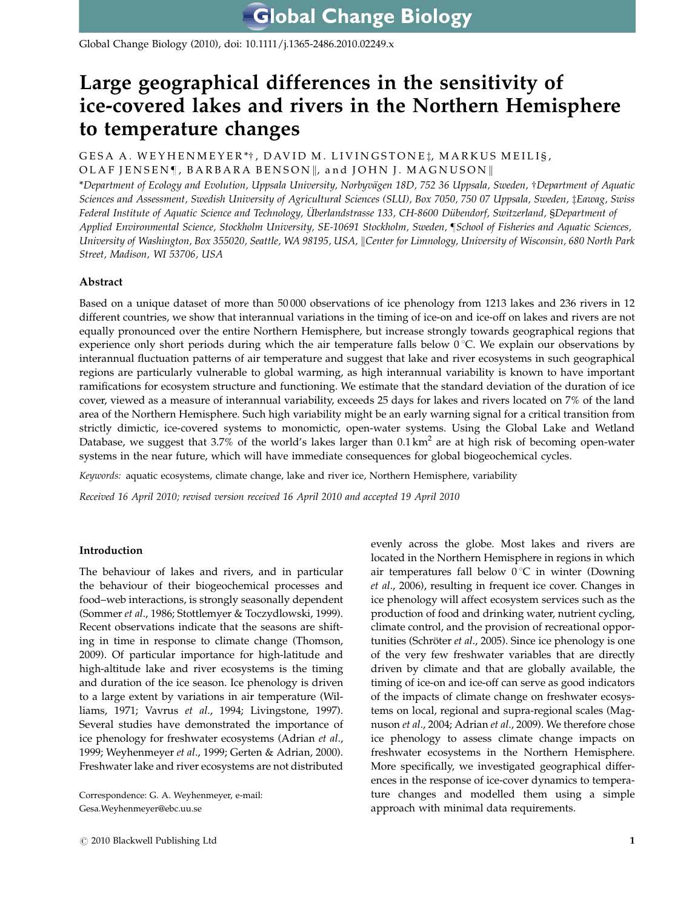Global Change Biology (2010), doi: 10.1111/j.1365-2486.2010.02249.x

# Large geographical differences in the sensitivity of ice-covered lakes and rivers in the Northern Hemisphere to temperature changes

GESA A. WEYHENMEYER\*†, DAVID M. LIVINGSTONE1, MARKUS MEILIŞ, OLAF JENSEN¶, BARBARA BENSON||, and JOHN J. MAGNUSON||

\*Department of Ecology and Evolution, Uppsala University, Norbyvägen 18D, 752 36 Uppsala, Sweden, †Department of Aquatic Sciences and Assessment, Swedish University of Agricultural Sciences (SLU), Box 7050, 750 07 Uppsala, Sweden, *‡Eawag*, Swiss Federal Institute of Aquatic Science and Technology, Überlandstrasse 133, CH-8600 Dübendorf, Switzerland, §Department of Applied Environmental Science, Stockholm University, SE-10691 Stockholm, Sweden, ¶School of Fisheries and Aquatic Sciences, University of Washington, Box 355020, Seattle, WA 98195, USA, Center for Limnology, University of Wisconsin, 680 North Park Street, Madison, WI 53706, USA

# Abstract

Based on a unique dataset of more than 50 000 observations of ice phenology from 1213 lakes and 236 rivers in 12 different countries, we show that interannual variations in the timing of ice-on and ice-off on lakes and rivers are not equally pronounced over the entire Northern Hemisphere, but increase strongly towards geographical regions that experience only short periods during which the air temperature falls below  $0^{\circ}$ C. We explain our observations by interannual fluctuation patterns of air temperature and suggest that lake and river ecosystems in such geographical regions are particularly vulnerable to global warming, as high interannual variability is known to have important ramifications for ecosystem structure and functioning. We estimate that the standard deviation of the duration of ice cover, viewed as a measure of interannual variability, exceeds 25 days for lakes and rivers located on 7% of the land area of the Northern Hemisphere. Such high variability might be an early warning signal for a critical transition from strictly dimictic, ice-covered systems to monomictic, open-water systems. Using the Global Lake and Wetland Database, we suggest that  $3.7\%$  of the world's lakes larger than  $0.1 \text{ km}^2$  are at high risk of becoming open-water systems in the near future, which will have immediate consequences for global biogeochemical cycles.

Keywords: aquatic ecosystems, climate change, lake and river ice, Northern Hemisphere, variability

Received 16 April 2010; revised version received 16 April 2010 and accepted 19 April 2010

# Introduction

The behaviour of lakes and rivers, and in particular the behaviour of their biogeochemical processes and food–web interactions, is strongly seasonally dependent (Sommer et al., 1986; Stottlemyer & Toczydlowski, 1999). Recent observations indicate that the seasons are shifting in time in response to climate change (Thomson, 2009). Of particular importance for high-latitude and high-altitude lake and river ecosystems is the timing and duration of the ice season. Ice phenology is driven to a large extent by variations in air temperature (Williams, 1971; Vavrus et al., 1994; Livingstone, 1997). Several studies have demonstrated the importance of ice phenology for freshwater ecosystems (Adrian et al., 1999; Weyhenmeyer et al., 1999; Gerten & Adrian, 2000). Freshwater lake and river ecosystems are not distributed

Correspondence: G. A. Weyhenmeyer, e-mail: [Gesa.Weyhenmeyer@ebc.uu.se](mailto:Gesa.Weyhenmeyer@ebc.uu.se)

evenly across the globe. Most lakes and rivers are located in the Northern Hemisphere in regions in which air temperatures fall below  $0^{\circ}C$  in winter (Downing et al., 2006), resulting in frequent ice cover. Changes in ice phenology will affect ecosystem services such as the production of food and drinking water, nutrient cycling, climate control, and the provision of recreational opportunities (Schröter et al., 2005). Since ice phenology is one of the very few freshwater variables that are directly driven by climate and that are globally available, the timing of ice-on and ice-off can serve as good indicators of the impacts of climate change on freshwater ecosystems on local, regional and supra-regional scales (Magnuson et al., 2004; Adrian et al., 2009). We therefore chose ice phenology to assess climate change impacts on freshwater ecosystems in the Northern Hemisphere. More specifically, we investigated geographical differences in the response of ice-cover dynamics to temperature changes and modelled them using a simple approach with minimal data requirements.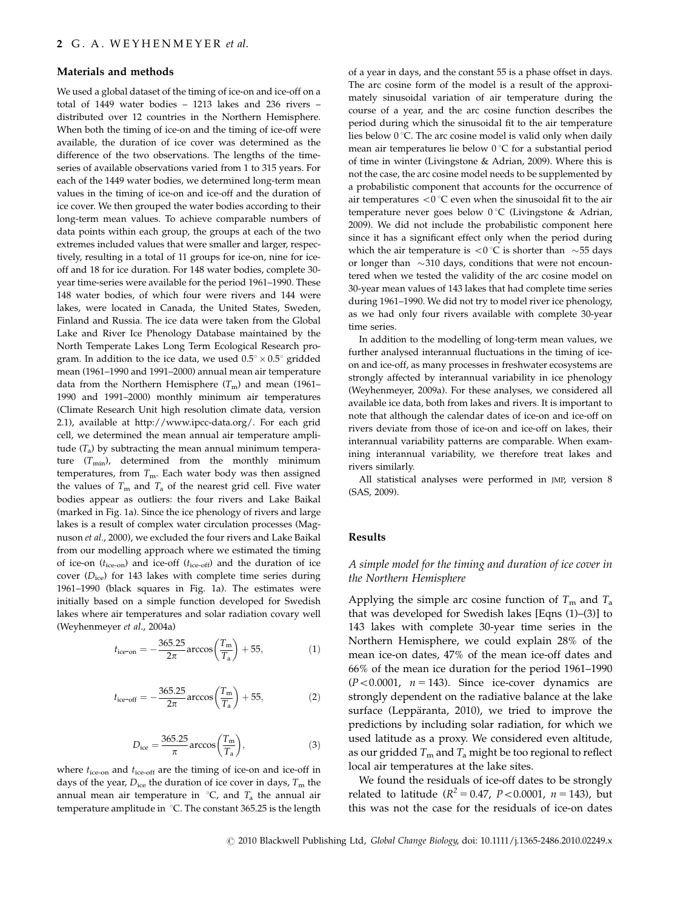#### Materials and methods

We used a global dataset of the timing of ice-on and ice-off on a total of 1449 water bodies – 1213 lakes and 236 rivers – distributed over 12 countries in the Northern Hemisphere. When both the timing of ice-on and the timing of ice-off were available, the duration of ice cover was determined as the difference of the two observations. The lengths of the timeseries of available observations varied from 1 to 315 years. For each of the 1449 water bodies, we determined long-term mean values in the timing of ice-on and ice-off and the duration of ice cover. We then grouped the water bodies according to their long-term mean values. To achieve comparable numbers of data points within each group, the groups at each of the two extremes included values that were smaller and larger, respectively, resulting in a total of 11 groups for ice-on, nine for iceoff and 18 for ice duration. For 148 water bodies, complete 30 year time-series were available for the period 1961–1990. These 148 water bodies, of which four were rivers and 144 were lakes, were located in Canada, the United States, Sweden, Finland and Russia. The ice data were taken from the Global Lake and River Ice Phenology Database maintained by the North Temperate Lakes Long Term Ecological Research program. In addition to the ice data, we used  $0.5^{\circ}\times0.5^{\circ}$  gridded mean (1961–1990 and 1991–2000) annual mean air temperature data from the Northern Hemisphere  $(T<sub>m</sub>)$  and mean (1961– 1990 and 1991–2000) monthly minimum air temperatures (Climate Research Unit high resolution climate data, version 2.1), available at [http://www.ipcc-data.org/. For each grid](http://www.ipcc-data.org/) [cell, we determined the mean annual air temperature ampli](http://www.ipcc-data.org/)tude  $(T_a)$  by subtracting the mean annual minimum temperature  $(T_{min})$ , determined from the monthly minimum [temperatures, from](http://www.ipcc-data.org/)  $T_{\text{m}}$ . Each water body was then assigned [the values of](http://www.ipcc-data.org/)  $T_m$  [and](http://www.ipcc-data.org/)  $T_a$  [of the nearest grid cell. Five water](http://www.ipcc-data.org/) [bodies appear as outliers: the four rivers and Lake Baikal](http://www.ipcc-data.org/) [\(marked in Fig. 1a\). Since the ice phenology of rivers and large](http://www.ipcc-data.org/) [lakes is a result of complex water circulation processes \(Mag](http://www.ipcc-data.org/)nuson et al[., 2000\), we excluded the four rivers and Lake Baikal](http://www.ipcc-data.org/) [from our modelling approach where we estimated the timing](http://www.ipcc-data.org/) of ice-on  $(t_{\text{ice-on}})$  and ice-off  $(t_{\text{ice-off}})$  and the duration of ice cover  $(D<sub>ice</sub>)$  for 143 lakes with complete time series during [1961–1990 \(black squares in Fig. 1a\). The estimates were](http://www.ipcc-data.org/) [initially based on a simple function developed for Swedish](http://www.ipcc-data.org/) [lakes where air temperatures and solar radiation covary well](http://www.ipcc-data.org/) [\(Weyhenmeyer](http://www.ipcc-data.org/) et al., 2004a)

$$
t_{\text{ice-on}} = -\frac{365.25}{2\pi} \arccos\left(\frac{T_{\text{m}}}{T_{\text{a}}}\right) + 55,\tag{1}
$$

$$
t_{\text{ice-off}} = -\frac{365.25}{2\pi} \arccos\left(\frac{T_{\text{m}}}{T_{\text{a}}}\right) + 55, \tag{2}
$$

$$
D_{\rm ice} = \frac{365.25}{\pi} \arccos\left(\frac{T_{\rm m}}{T_a}\right),\tag{3}
$$

[where](http://www.ipcc-data.org/)  $t_{\text{ice-on}}$  [and](http://www.ipcc-data.org/)  $t_{\text{ice-off}}$  [are the timing of ice-on and ice-off in](http://www.ipcc-data.org/) [days of the year,](http://www.ipcc-data.org/)  $D_{\text{ice}}$  [the duration of ice cover in days,](http://www.ipcc-data.org/)  $T_{\text{m}}$  [the](http://www.ipcc-data.org/) [annual mean air temperature in](http://www.ipcc-data.org/)  ${}^{\circ}C$ , and  $T_a$  [the annual air](http://www.ipcc-data.org/) temperature amplitude in  $°C$ . The constant 365.25 is the length [of a year in days, and the constant 55 is a phase offset in days.](http://www.ipcc-data.org/) [The arc cosine form of the model is a result of the approxi](http://www.ipcc-data.org/)[mately sinusoidal variation of air temperature during the](http://www.ipcc-data.org/) [course of a year, and the arc cosine function describes the](http://www.ipcc-data.org/) [period during which the sinusoidal fit to the air temperature](http://www.ipcc-data.org/) lies below  $0^{\circ}$ [C. The arc cosine model is valid only when daily](http://www.ipcc-data.org/) mean air temperatures lie below  $0^{\circ}C$  for a substantial period [of time in winter \(Livingstone & Adrian, 2009\). Where this is](http://www.ipcc-data.org/) [not the case, the arc cosine model needs to be supplemented by](http://www.ipcc-data.org/) [a probabilistic component that accounts for the occurrence of](http://www.ipcc-data.org/) air temperatures  $<$  0 °[C even when the sinusoidal fit to the air](http://www.ipcc-data.org/) temperature never goes below  $0^{\circ}C$  (Livingstone & Adrian, [2009\). We did not include the probabilistic component here](http://www.ipcc-data.org/) [since it has a significant effect only when the period during](http://www.ipcc-data.org/) [which the air temperature is](http://www.ipcc-data.org/)  $\langle 0 \degree C$  is shorter than  $\sim$  [55 days](http://www.ipcc-data.org/) [or longer than](http://www.ipcc-data.org/)  $\sim$ [310 days, conditions that were not encoun](http://www.ipcc-data.org/)[tered when we tested the validity of the arc cosine model on](http://www.ipcc-data.org/) [30-year mean values of 143 lakes that had complete time series](http://www.ipcc-data.org/) [during 1961–1990. We did not try to model river ice phenology,](http://www.ipcc-data.org/) [as we had only four rivers available with complete 30-year](http://www.ipcc-data.org/) [time series.](http://www.ipcc-data.org/)

In addition to the modelling of long-term mean values, we further analysed interannual fluctuations in the timing of iceon and ice-off, as many processes in freshwater ecosystems are strongly affected by interannual variability in ice phenology (Weyhenmeyer, 2009a). For these analyses, we considered all available ice data, both from lakes and rivers. It is important to note that although the calendar dates of ice-on and ice-off on rivers deviate from those of ice-on and ice-off on lakes, their interannual variability patterns are comparable. When examining interannual variability, we therefore treat lakes and rivers similarly.

All statistical analyses were performed in JMP, version 8 (SAS, 2009).

#### Results

## A simple model for the timing and duration of ice cover in the Northern Hemisphere

Applying the simple arc cosine function of  $T<sub>m</sub>$  and  $T<sub>a</sub>$ that was developed for Swedish lakes [Eqns (1)–(3)] to 143 lakes with complete 30-year time series in the Northern Hemisphere, we could explain 28% of the mean ice-on dates, 47% of the mean ice-off dates and 66% of the mean ice duration for the period 1961–1990  $(P<0.0001, n = 143)$ . Since ice-cover dynamics are strongly dependent on the radiative balance at the lake surface (Leppäranta, 2010), we tried to improve the predictions by including solar radiation, for which we used latitude as a proxy. We considered even altitude, as our gridded  $T_m$  and  $T_a$  might be too regional to reflect local air temperatures at the lake sites.

We found the residuals of ice-off dates to be strongly related to latitude ( $R^2 = 0.47$ ,  $P < 0.0001$ ,  $n = 143$ ), but this was not the case for the residuals of ice-on dates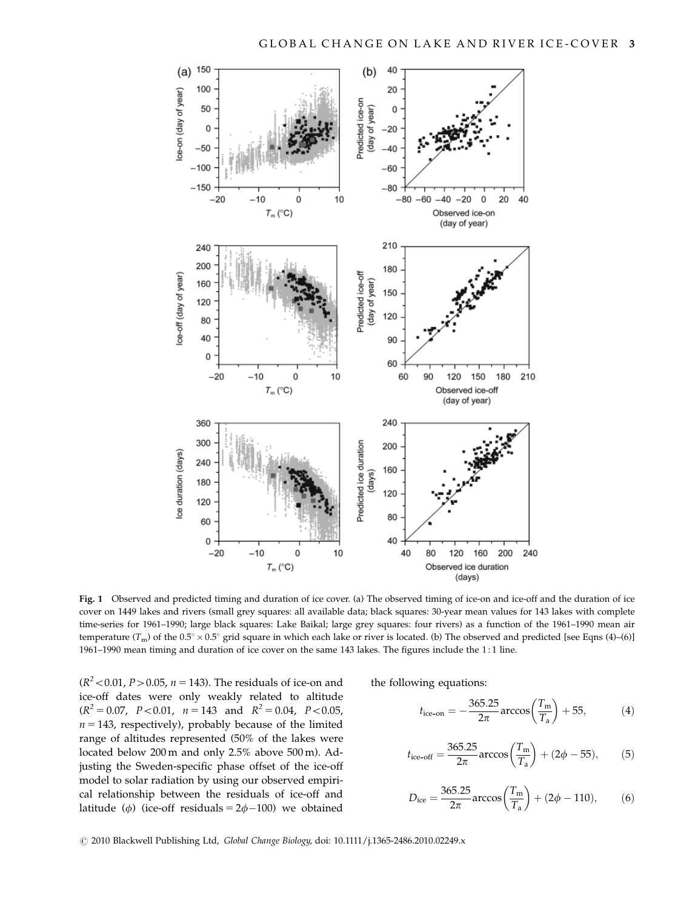

Fig. 1 Observed and predicted timing and duration of ice cover. (a) The observed timing of ice-on and ice-off and the duration of ice cover on 1449 lakes and rivers (small grey squares: all available data; black squares: 30-year mean values for 143 lakes with complete time-series for 1961–1990; large black squares: Lake Baikal; large grey squares: four rivers) as a function of the 1961–1990 mean air temperature  $(T_m)$  of the 0.5°  $\times$  0.5° grid square in which each lake or river is located. (b) The observed and predicted [see Eqns (4)–(6)] 1961–1990 mean timing and duration of ice cover on the same 143 lakes. The figures include the 1 : 1 line.

( $R^2$  < 0.01, *P* > 0.05, *n* = 143). The residuals of ice-on and ice-off dates were only weakly related to altitude  $(R^{2} = 0.07, P < 0.01, n = 143 \text{ and } R^{2} = 0.04, P < 0.05,$  $n = 143$ , respectively), probably because of the limited range of altitudes represented (50% of the lakes were located below 200 m and only 2.5% above 500 m). Adjusting the Sweden-specific phase offset of the ice-off model to solar radiation by using our observed empirical relationship between the residuals of ice-off and latitude ( $\phi$ ) (ice-off residuals = 2 $\phi$ -100) we obtained

the following equations:

$$
t_{\text{ice-on}} = -\frac{365.25}{2\pi} \arccos\left(\frac{T_{\text{m}}}{T_{\text{a}}}\right) + 55, \tag{4}
$$

$$
t_{\text{ice-off}} = \frac{365.25}{2\pi} \arccos\left(\frac{T_{\text{m}}}{T_{\text{a}}}\right) + (2\phi - 55),\tag{5}
$$

$$
D_{\rm ice} = \frac{365.25}{2\pi} \arccos\left(\frac{T_{\rm m}}{T_{\rm a}}\right) + (2\phi - 110),\tag{6}
$$

r 2010 Blackwell Publishing Ltd, Global Change Biology, doi: 10.1111/j.1365-2486.2010.02249.x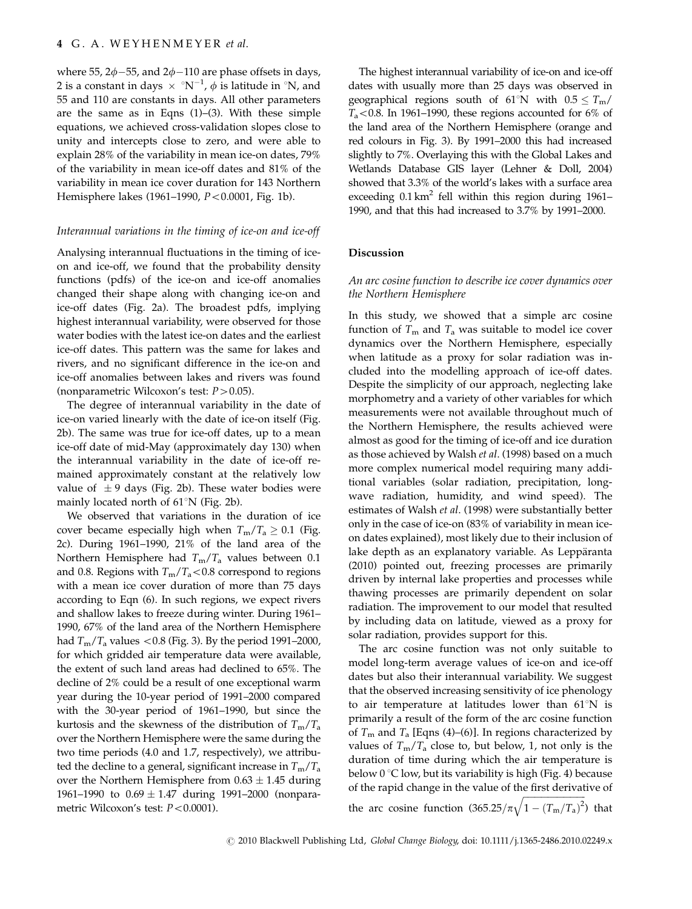where 55,  $2\phi - 55$ , and  $2\phi - 110$  are phase offsets in days, 2 is a constant in days  $\hspace{0.1 cm}\times\hspace{0.1 cm}^\circ\text{N}^{-1}$ ,  $\phi$  is latitude in  $^\circ\text{N}$ , and 55 and 110 are constants in days. All other parameters are the same as in Eqns (1)–(3). With these simple equations, we achieved cross-validation slopes close to unity and intercepts close to zero, and were able to explain 28% of the variability in mean ice-on dates, 79% of the variability in mean ice-off dates and 81% of the variability in mean ice cover duration for 143 Northern Hemisphere lakes (1961-1990,  $P < 0.0001$ , Fig. 1b).

#### Interannual variations in the timing of ice-on and ice-off

Analysing interannual fluctuations in the timing of iceon and ice-off, we found that the probability density functions (pdfs) of the ice-on and ice-off anomalies changed their shape along with changing ice-on and ice-off dates (Fig. 2a). The broadest pdfs, implying highest interannual variability, were observed for those water bodies with the latest ice-on dates and the earliest ice-off dates. This pattern was the same for lakes and rivers, and no significant difference in the ice-on and ice-off anomalies between lakes and rivers was found (nonparametric Wilcoxon's test:  $P > 0.05$ ).

The degree of interannual variability in the date of ice-on varied linearly with the date of ice-on itself (Fig. 2b). The same was true for ice-off dates, up to a mean ice-off date of mid-May (approximately day 130) when the interannual variability in the date of ice-off remained approximately constant at the relatively low value of  $\pm$  9 days (Fig. 2b). These water bodies were mainly located north of  $61^{\circ}$ N (Fig. 2b).

We observed that variations in the duration of ice cover became especially high when  $T_m/T_a \geq 0.1$  (Fig. 2c). During 1961–1990, 21% of the land area of the Northern Hemisphere had  $T_{\rm m}/T_{\rm a}$  values between 0.1 and 0.8. Regions with  $T_m/T_a < 0.8$  correspond to regions with a mean ice cover duration of more than 75 days according to Eqn (6). In such regions, we expect rivers and shallow lakes to freeze during winter. During 1961– 1990, 67% of the land area of the Northern Hemisphere had  $T_{\rm m}/T_{\rm a}$  values  $< 0.8$  (Fig. 3). By the period 1991–2000, for which gridded air temperature data were available, the extent of such land areas had declined to 65%. The decline of 2% could be a result of one exceptional warm year during the 10-year period of 1991–2000 compared with the 30-year period of 1961–1990, but since the kurtosis and the skewness of the distribution of  $T_m/T_a$ over the Northern Hemisphere were the same during the two time periods (4.0 and 1.7, respectively), we attributed the decline to a general, significant increase in  $T_m/T_a$ over the Northern Hemisphere from  $0.63 \pm 1.45$  during 1961–1990 to  $0.69 \pm 1.47$  during 1991–2000 (nonparametric Wilcoxon's test:  $P < 0.0001$ ).

The highest interannual variability of ice-on and ice-off dates with usually more than 25 days was observed in geographical regions south of 61°N with  $0.5 \le T_m/$  $T_a$ <0.8. In 1961–1990, these regions accounted for 6% of the land area of the Northern Hemisphere (orange and red colours in Fig. 3). By 1991–2000 this had increased slightly to 7%. Overlaying this with the Global Lakes and Wetlands Database GIS layer (Lehner & Doll, 2004) showed that 3.3% of the world's lakes with a surface area exceeding  $0.1 \text{ km}^2$  fell within this region during 1961– 1990, and that this had increased to 3.7% by 1991–2000.

#### Discussion

## An arc cosine function to describe ice cover dynamics over the Northern Hemisphere

In this study, we showed that a simple arc cosine function of  $T_m$  and  $T_a$  was suitable to model ice cover dynamics over the Northern Hemisphere, especially when latitude as a proxy for solar radiation was included into the modelling approach of ice-off dates. Despite the simplicity of our approach, neglecting lake morphometry and a variety of other variables for which measurements were not available throughout much of the Northern Hemisphere, the results achieved were almost as good for the timing of ice-off and ice duration as those achieved by Walsh et al. (1998) based on a much more complex numerical model requiring many additional variables (solar radiation, precipitation, longwave radiation, humidity, and wind speed). The estimates of Walsh et al. (1998) were substantially better only in the case of ice-on (83% of variability in mean iceon dates explained), most likely due to their inclusion of lake depth as an explanatory variable. As Leppäranta (2010) pointed out, freezing processes are primarily driven by internal lake properties and processes while thawing processes are primarily dependent on solar radiation. The improvement to our model that resulted by including data on latitude, viewed as a proxy for solar radiation, provides support for this.

The arc cosine function was not only suitable to model long-term average values of ice-on and ice-off dates but also their interannual variability. We suggest that the observed increasing sensitivity of ice phenology to air temperature at latitudes lower than  $61^{\circ}$ N is primarily a result of the form of the arc cosine function of  $T_m$  and  $T_a$  [Eqns (4)–(6)]. In regions characterized by values of  $T_m/T_a$  close to, but below, 1, not only is the duration of time during which the air temperature is below  $0^{\circ}$ C low, but its variability is high (Fig. 4) because of the rapid change in the value of the first derivative of ffiffiffiffiffiffiffiffiffiffiffiffiffiffiffiffiffiffiffiffiffiffiffiffiffiffiffi

the arc cosine function  $(365.25/\pi)$  $\sqrt{1-(T_{\rm m}/T_{\rm a})^2}$ ) that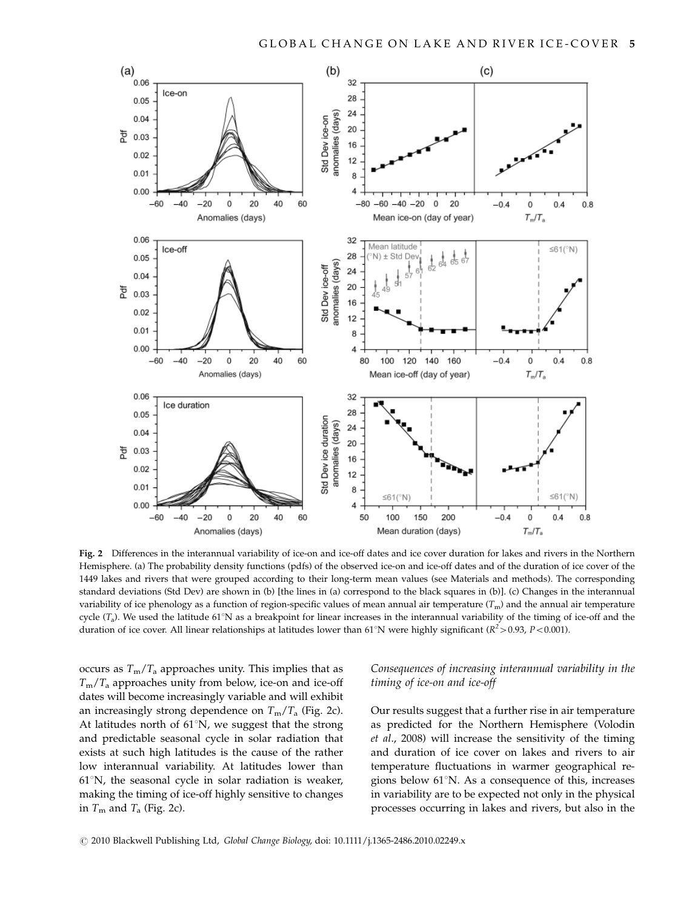

Fig. 2 Differences in the interannual variability of ice-on and ice-off dates and ice cover duration for lakes and rivers in the Northern Hemisphere. (a) The probability density functions (pdfs) of the observed ice-on and ice-off dates and of the duration of ice cover of the 1449 lakes and rivers that were grouped according to their long-term mean values (see Materials and methods). The corresponding standard deviations (Std Dev) are shown in (b) [the lines in (a) correspond to the black squares in (b)]. (c) Changes in the interannual variability of ice phenology as a function of region-specific values of mean annual air temperature  $(T_m)$  and the annual air temperature cycle  $(T_a)$ . We used the latitude 61°N as a breakpoint for linear increases in the interannual variability of the timing of ice-off and the duration of ice cover. All linear relationships at latitudes lower than 61°N were highly significant ( $R^2$  > 0.93, P < 0.001).

occurs as  $T_m/T_a$  approaches unity. This implies that as  $T_{\rm m}/T_{\rm a}$  approaches unity from below, ice-on and ice-off dates will become increasingly variable and will exhibit an increasingly strong dependence on  $T_m/T_a$  (Fig. 2c). At latitudes north of  $61^{\circ}$ N, we suggest that the strong and predictable seasonal cycle in solar radiation that exists at such high latitudes is the cause of the rather low interannual variability. At latitudes lower than  $61^{\circ}$ N, the seasonal cycle in solar radiation is weaker, making the timing of ice-off highly sensitive to changes in  $T_m$  and  $T_a$  (Fig. 2c).

# Consequences of increasing interannual variability in the timing of ice-on and ice-off

Our results suggest that a further rise in air temperature as predicted for the Northern Hemisphere (Volodin et al., 2008) will increase the sensitivity of the timing and duration of ice cover on lakes and rivers to air temperature fluctuations in warmer geographical regions below  $61^{\circ}$ N. As a consequence of this, increases in variability are to be expected not only in the physical processes occurring in lakes and rivers, but also in the

r 2010 Blackwell Publishing Ltd, Global Change Biology, doi: 10.1111/j.1365-2486.2010.02249.x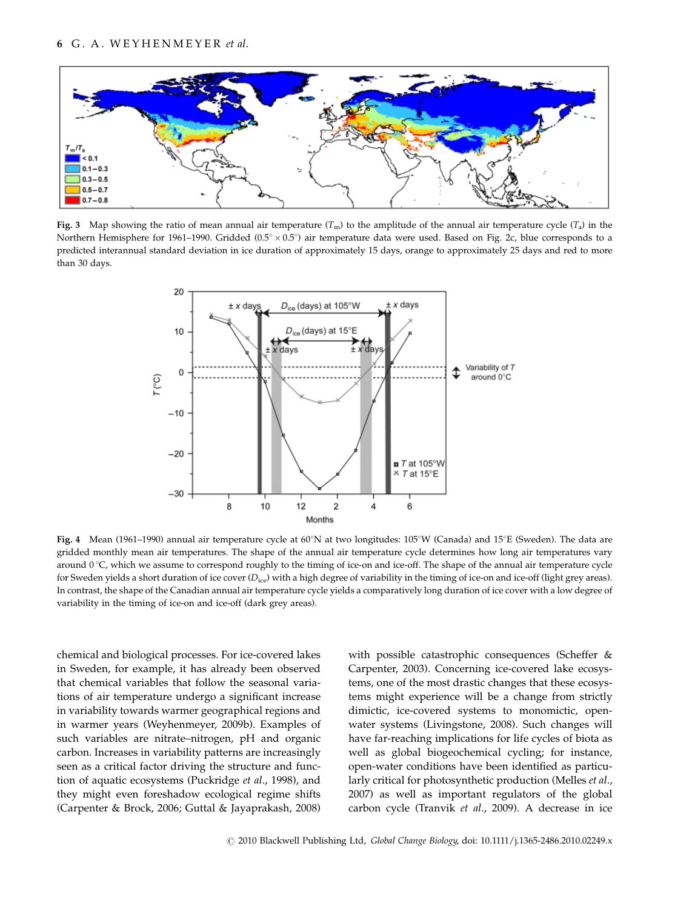

Fig. 3 Map showing the ratio of mean annual air temperature  $(T_m)$  to the amplitude of the annual air temperature cycle  $(T_a)$  in the Northern Hemisphere for 1961–1990. Gridded (0.5°  $\times$  0.5°) air temperature data were used. Based on Fig. 2c, blue corresponds to a predicted interannual standard deviation in ice duration of approximately 15 days, orange to approximately 25 days and red to more than 30 days.



Fig. 4 Mean (1961–1990) annual air temperature cycle at  $60^{\circ}N$  at two longitudes:  $105^{\circ}W$  (Canada) and  $15^{\circ}E$  (Sweden). The data are gridded monthly mean air temperatures. The shape of the annual air temperature cycle determines how long air temperatures vary around  $0^{\circ}$ C, which we assume to correspond roughly to the timing of ice-on and ice-off. The shape of the annual air temperature cycle for Sweden yields a short duration of ice cover  $(D_{\text{ice}})$  with a high degree of variability in the timing of ice-on and ice-off (light grey areas). In contrast, the shape of the Canadian annual air temperature cycle yields a comparatively long duration of ice cover with a low degree of variability in the timing of ice-on and ice-off (dark grey areas).

chemical and biological processes. For ice-covered lakes in Sweden, for example, it has already been observed that chemical variables that follow the seasonal variations of air temperature undergo a significant increase in variability towards warmer geographical regions and in warmer years (Weyhenmeyer, 2009b). Examples of such variables are nitrate–nitrogen, pH and organic carbon. Increases in variability patterns are increasingly seen as a critical factor driving the structure and function of aquatic ecosystems (Puckridge et al., 1998), and they might even foreshadow ecological regime shifts (Carpenter & Brock, 2006; Guttal & Jayaprakash, 2008) with possible catastrophic consequences (Scheffer & Carpenter, 2003). Concerning ice-covered lake ecosystems, one of the most drastic changes that these ecosystems might experience will be a change from strictly dimictic, ice-covered systems to monomictic, openwater systems (Livingstone, 2008). Such changes will have far-reaching implications for life cycles of biota as well as global biogeochemical cycling; for instance, open-water conditions have been identified as particularly critical for photosynthetic production (Melles et al., 2007) as well as important regulators of the global carbon cycle (Tranvik et al., 2009). A decrease in ice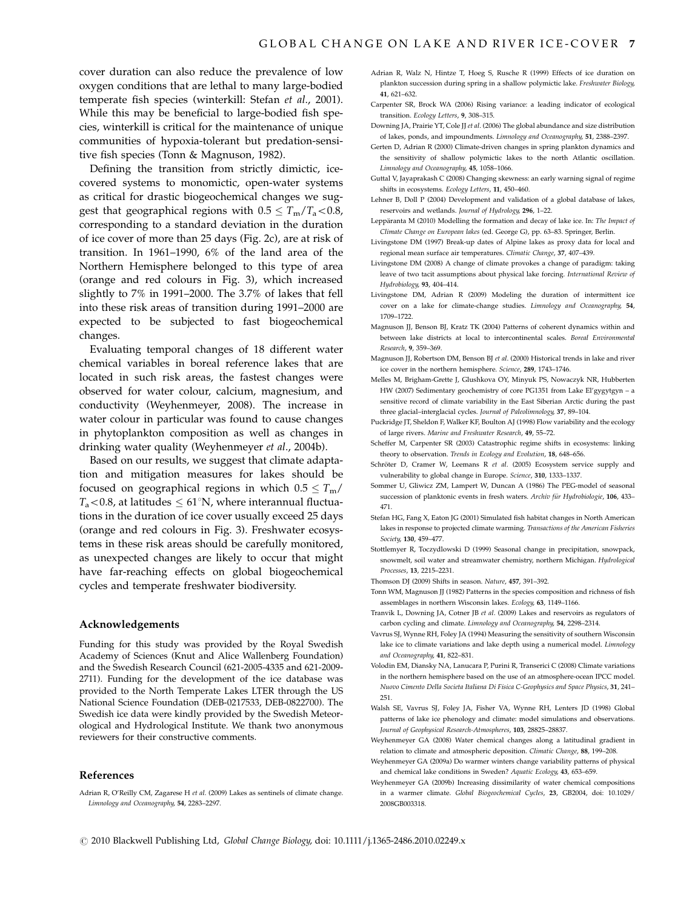cover duration can also reduce the prevalence of low oxygen conditions that are lethal to many large-bodied temperate fish species (winterkill: Stefan et al., 2001). While this may be beneficial to large-bodied fish species, winterkill is critical for the maintenance of unique communities of hypoxia-tolerant but predation-sensitive fish species (Tonn & Magnuson, 1982).

Defining the transition from strictly dimictic, icecovered systems to monomictic, open-water systems as critical for drastic biogeochemical changes we suggest that geographical regions with  $0.5 \leq T_{\rm m}/T_{\rm a} < 0.8$ , corresponding to a standard deviation in the duration of ice cover of more than 25 days (Fig. 2c), are at risk of transition. In 1961–1990, 6% of the land area of the Northern Hemisphere belonged to this type of area (orange and red colours in Fig. 3), which increased slightly to 7% in 1991–2000. The 3.7% of lakes that fell into these risk areas of transition during 1991–2000 are expected to be subjected to fast biogeochemical changes.

Evaluating temporal changes of 18 different water chemical variables in boreal reference lakes that are located in such risk areas, the fastest changes were observed for water colour, calcium, magnesium, and conductivity (Weyhenmeyer, 2008). The increase in water colour in particular was found to cause changes in phytoplankton composition as well as changes in drinking water quality (Weyhenmeyer et al., 2004b).

Based on our results, we suggest that climate adaptation and mitigation measures for lakes should be focused on geographical regions in which  $0.5 \leq T_{\text{m}}/$  $T_a$  < 0.8, at latitudes  $\leq 61^{\circ}$ N, where interannual fluctuations in the duration of ice cover usually exceed 25 days (orange and red colours in Fig. 3). Freshwater ecosystems in these risk areas should be carefully monitored, as unexpected changes are likely to occur that might have far-reaching effects on global biogeochemical cycles and temperate freshwater biodiversity.

#### Acknowledgements

Funding for this study was provided by the Royal Swedish Academy of Sciences (Knut and Alice Wallenberg Foundation) and the Swedish Research Council (621-2005-4335 and 621-2009- 2711). Funding for the development of the ice database was provided to the North Temperate Lakes LTER through the US National Science Foundation (DEB-0217533, DEB-0822700). The Swedish ice data were kindly provided by the Swedish Meteorological and Hydrological Institute. We thank two anonymous reviewers for their constructive comments.

#### References

Adrian R, O'Reilly CM, Zagarese H et al. (2009) Lakes as sentinels of climate change. Limnology and Oceanography, 54, 2283–2297.

- Adrian R, Walz N, Hintze T, Hoeg S, Rusche R (1999) Effects of ice duration on plankton succession during spring in a shallow polymictic lake. Freshwater Biology, 41, 621–632.
- Carpenter SR, Brock WA (2006) Rising variance: a leading indicator of ecological transition. Ecology Letters, 9, 308–315.
- Downing JA, Prairie YT, Cole JJ et al. (2006) The global abundance and size distribution of lakes, ponds, and impoundments. Limnology and Oceanography, 51, 2388–2397.
- Gerten D, Adrian R (2000) Climate-driven changes in spring plankton dynamics and the sensitivity of shallow polymictic lakes to the north Atlantic oscillation. Limnology and Oceanography, 45, 1058–1066.
- Guttal V, Jayaprakash C (2008) Changing skewness: an early warning signal of regime shifts in ecosystems. Ecology Letters, 11, 450–460.
- Lehner B, Doll P (2004) Development and validation of a global database of lakes, reservoirs and wetlands. Journal of Hydrology, 296, 1–22.
- Leppäranta M (2010) Modelling the formation and decay of lake ice. In: The Impact of Climate Change on European lakes (ed. George G), pp. 63–83. Springer, Berlin.
- Livingstone DM (1997) Break-up dates of Alpine lakes as proxy data for local and regional mean surface air temperatures. Climatic Change, 37, 407–439.
- Livingstone DM (2008) A change of climate provokes a change of paradigm: taking leave of two tacit assumptions about physical lake forcing. International Review of Hydrobiology, 93, 404–414.
- Livingstone DM, Adrian R (2009) Modeling the duration of intermittent ice cover on a lake for climate-change studies. Limnology and Oceanography, 54, 1709–1722.
- Magnuson JJ, Benson BJ, Kratz TK (2004) Patterns of coherent dynamics within and between lake districts at local to intercontinental scales. Boreal Environmental Research, 9, 359–369.
- Magnuson JJ, Robertson DM, Benson BJ et al. (2000) Historical trends in lake and river ice cover in the northern hemisphere. Science, 289, 1743–1746.
- Melles M, Brigham-Grette J, Glushkova OY, Minyuk PS, Nowaczyk NR, Hubberten HW (2007) Sedimentary geochemistry of core PG1351 from Lake El'gygytgyn – a sensitive record of climate variability in the East Siberian Arctic during the past three glacial–interglacial cycles. Journal of Paleolimnology, 37, 89–104.
- Puckridge JT, Sheldon F, Walker KF, Boulton AJ (1998) Flow variability and the ecology of large rivers. Marine and Freshwater Research, 49, 55–72.
- Scheffer M, Carpenter SR (2003) Catastrophic regime shifts in ecosystems: linking theory to observation. Trends in Ecology and Evolution, 18, 648–656.
- Schröter D, Cramer W, Leemans R et al. (2005) Ecosystem service supply and vulnerability to global change in Europe. Science, 310, 1333–1337.
- Sommer U, Gliwicz ZM, Lampert W, Duncan A (1986) The PEG-model of seasonal succession of planktonic events in fresh waters. Archiv für Hydrobiologie, 106, 433-471.
- Stefan HG, Fang X, Eaton JG (2001) Simulated fish habitat changes in North American lakes in response to projected climate warming. Transactions of the American Fisheries Society, 130, 459–477.
- Stottlemyer R, Toczydlowski D (1999) Seasonal change in precipitation, snowpack, snowmelt, soil water and streamwater chemistry, northern Michigan. Hydrological Processes, 13, 2215–2231.

Thomson DJ (2009) Shifts in season. Nature, 457, 391–392.

- Tonn WM, Magnuson II (1982) Patterns in the species composition and richness of fish assemblages in northern Wisconsin lakes. Ecology, 63, 1149–1166.
- Tranvik L, Downing JA, Cotner JB et al. (2009) Lakes and reservoirs as regulators of carbon cycling and climate. Limnology and Oceanography, 54, 2298–2314.
- Vavrus SJ, Wynne RH, Foley JA (1994) Measuring the sensitivity of southern Wisconsin lake ice to climate variations and lake depth using a numerical model. Limnology and Oceanography, 41, 822–831.
- Volodin EM, Diansky NA, Lanucara P, Purini R, Transerici C (2008) Climate variations in the northern hemisphere based on the use of an atmosphere-ocean IPCC model. Nuovo Cimento Della Societa Italiana Di Fisica C-Geophysics and Space Physics, 31, 241– 251.
- Walsh SE, Vavrus SJ, Foley JA, Fisher VA, Wynne RH, Lenters JD (1998) Global patterns of lake ice phenology and climate: model simulations and observations. Journal of Geophysical Research-Atmospheres, 103, 28825–28837.
- Weyhenmeyer GA (2008) Water chemical changes along a latitudinal gradient in relation to climate and atmospheric deposition. Climatic Change, 88, 199–208.
- Weyhenmeyer GA (2009a) Do warmer winters change variability patterns of physical and chemical lake conditions in Sweden? Aquatic Ecology, 43, 653–659.
- Weyhenmeyer GA (2009b) Increasing dissimilarity of water chemical compositions in a warmer climate. Global Biogeochemical Cycles, 23, GB2004, doi: [10.1029/](10.1029/2008GB003318, 2009) [2008GB003318.](10.1029/2008GB003318, 2009)